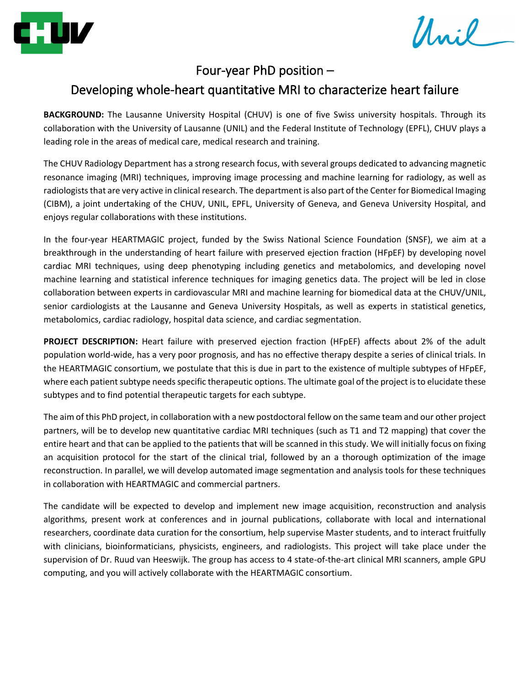

Unil -

## Four-year PhD position –

## Developing whole-heart quantitative MRI to characterize heart failure

**BACKGROUND:** The Lausanne University Hospital (CHUV) is one of five Swiss university hospitals. Through its collaboration with the University of Lausanne (UNIL) and the Federal Institute of Technology (EPFL), CHUV plays a leading role in the areas of medical care, medical research and training.

The CHUV Radiology Department has a strong research focus, with several groups dedicated to advancing magnetic resonance imaging (MRI) techniques, improving image processing and machine learning for radiology, as well as radiologists that are very active in clinical research. The department is also part of the Center for Biomedical Imaging (CIBM), a joint undertaking of the CHUV, UNIL, EPFL, University of Geneva, and Geneva University Hospital, and enjoys regular collaborations with these institutions.

In the four-year HEARTMAGIC project, funded by the Swiss National Science Foundation (SNSF), we aim at a breakthrough in the understanding of heart failure with preserved ejection fraction (HFpEF) by developing novel cardiac MRI techniques, using deep phenotyping including genetics and metabolomics, and developing novel machine learning and statistical inference techniques for imaging genetics data. The project will be led in close collaboration between experts in cardiovascular MRI and machine learning for biomedical data at the CHUV/UNIL, senior cardiologists at the Lausanne and Geneva University Hospitals, as well as experts in statistical genetics, metabolomics, cardiac radiology, hospital data science, and cardiac segmentation.

**PROJECT DESCRIPTION:** Heart failure with preserved ejection fraction (HFpEF) affects about 2% of the adult population world-wide, has a very poor prognosis, and has no effective therapy despite a series of clinical trials. In the HEARTMAGIC consortium, we postulate that this is due in part to the existence of multiple subtypes of HFpEF, where each patient subtype needs specific therapeutic options. The ultimate goal of the project is to elucidate these subtypes and to find potential therapeutic targets for each subtype.

The aim of this PhD project, in collaboration with a new postdoctoral fellow on the same team and our other project partners, will be to develop new quantitative cardiac MRI techniques (such as T1 and T2 mapping) that cover the entire heart and that can be applied to the patients that will be scanned in this study. We will initially focus on fixing an acquisition protocol for the start of the clinical trial, followed by an a thorough optimization of the image reconstruction. In parallel, we will develop automated image segmentation and analysis tools for these techniques in collaboration with HEARTMAGIC and commercial partners.

The candidate will be expected to develop and implement new image acquisition, reconstruction and analysis algorithms, present work at conferences and in journal publications, collaborate with local and international researchers, coordinate data curation for the consortium, help supervise Master students, and to interact fruitfully with clinicians, bioinformaticians, physicists, engineers, and radiologists. This project will take place under the supervision of Dr. Ruud van Heeswijk. The group has access to 4 state-of-the-art clinical MRI scanners, ample GPU computing, and you will actively collaborate with the HEARTMAGIC consortium.